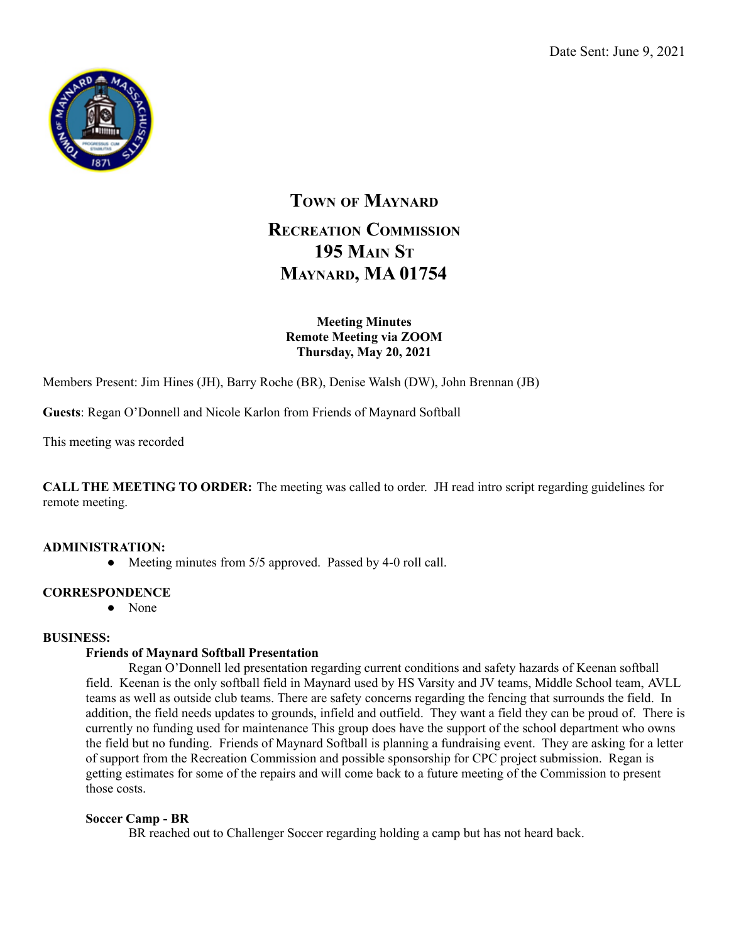

# **TOWN OF MAYNARD RECREATION COMMISSION 195 MAIN ST MAYNARD, MA 01754**

## **Meeting Minutes Remote Meeting via ZOOM Thursday, May 20, 2021**

Members Present: Jim Hines (JH), Barry Roche (BR), Denise Walsh (DW), John Brennan (JB)

**Guests**: Regan O'Donnell and Nicole Karlon from Friends of Maynard Softball

This meeting was recorded

**CALL THE MEETING TO ORDER:** The meeting was called to order. JH read intro script regarding guidelines for remote meeting.

## **ADMINISTRATION:**

• Meeting minutes from 5/5 approved. Passed by 4-0 roll call.

## **CORRESPONDENCE**

● None

## **BUSINESS:**

## **Friends of Maynard Softball Presentation**

Regan O'Donnell led presentation regarding current conditions and safety hazards of Keenan softball field. Keenan is the only softball field in Maynard used by HS Varsity and JV teams, Middle School team, AVLL teams as well as outside club teams. There are safety concerns regarding the fencing that surrounds the field. In addition, the field needs updates to grounds, infield and outfield. They want a field they can be proud of. There is currently no funding used for maintenance This group does have the support of the school department who owns the field but no funding. Friends of Maynard Softball is planning a fundraising event. They are asking for a letter of support from the Recreation Commission and possible sponsorship for CPC project submission. Regan is getting estimates for some of the repairs and will come back to a future meeting of the Commission to present those costs.

#### **Soccer Camp - BR**

BR reached out to Challenger Soccer regarding holding a camp but has not heard back.